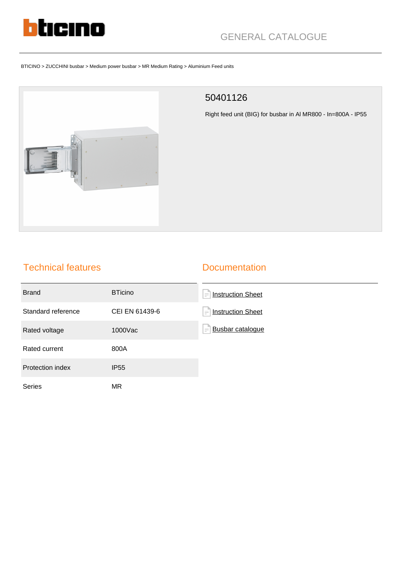

# GENERAL CATALOGUE

#### BTICINO > ZUCCHINI busbar > Medium power busbar > MR Medium Rating > Aluminium Feed units



#### 50401126

Right feed unit (BIG) for busbar in Al MR800 - In=800A - IP55

## Technical features

#### **Documentation**

| <b>Brand</b>       | <b>BTicino</b> | <b>Instruction Sheet</b><br>$\equiv$ |
|--------------------|----------------|--------------------------------------|
| Standard reference | CEI EN 61439-6 | <b>Instruction Sheet</b><br>$\equiv$ |
| Rated voltage      | 1000Vac        | <b>Busbar catalogue</b><br>$\equiv$  |
| Rated current      | 800A           |                                      |
| Protection index   | <b>IP55</b>    |                                      |
| <b>Series</b>      | ΜR             |                                      |